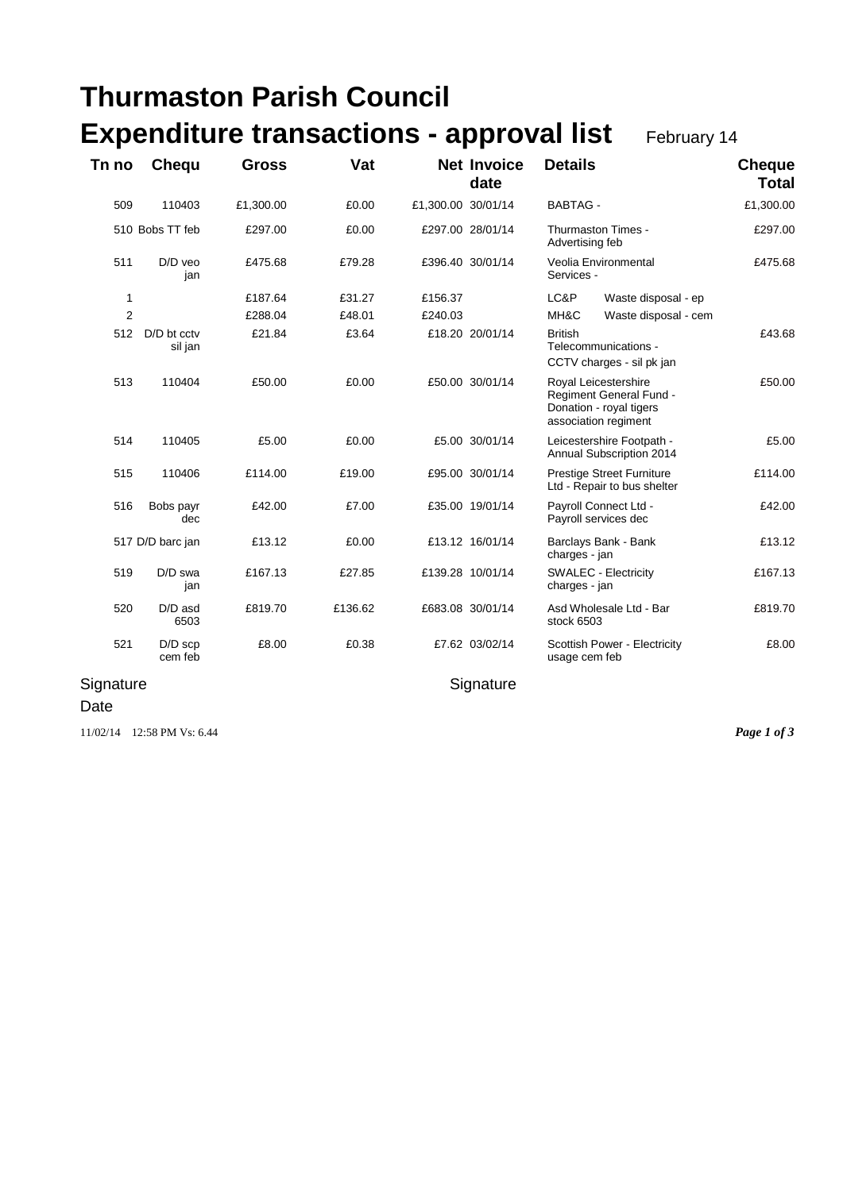## **Thurmaston Parish Council Expenditure transactions - approval list** February 14

| Tn no          | Chequ                  | Gross     | Vat     |                    | <b>Net Invoice</b><br>date | <b>Details</b>                                                                                     | <b>Cheque</b><br><b>Total</b> |
|----------------|------------------------|-----------|---------|--------------------|----------------------------|----------------------------------------------------------------------------------------------------|-------------------------------|
| 509            | 110403                 | £1,300.00 | £0.00   | £1,300.00 30/01/14 |                            | <b>BABTAG -</b>                                                                                    | £1,300.00                     |
|                | 510 Bobs TT feb        | £297.00   | £0.00   |                    | £297.00 28/01/14           | Thurmaston Times -<br>Advertising feb                                                              | £297.00                       |
| 511            | D/D veo<br>jan         | £475.68   | £79.28  |                    | £396.40 30/01/14           | Veolia Environmental<br>Services -                                                                 | £475.68                       |
| 1              |                        | £187.64   | £31.27  | £156.37            |                            | LC&P<br>Waste disposal - ep                                                                        |                               |
| $\overline{2}$ |                        | £288.04   | £48.01  | £240.03            |                            | MH&C<br>Waste disposal - cem                                                                       |                               |
| 512            | D/D bt cctv<br>sil jan | £21.84    | £3.64   |                    | £18.20 20/01/14            | <b>British</b><br>Telecommunications -<br>CCTV charges - sil pk jan                                | £43.68                        |
| 513            | 110404                 | £50.00    | £0.00   |                    | £50.00 30/01/14            | Royal Leicestershire<br>Regiment General Fund -<br>Donation - royal tigers<br>association regiment | £50.00                        |
| 514            | 110405                 | £5.00     | £0.00   |                    | £5.00 30/01/14             | Leicestershire Footpath -<br>Annual Subscription 2014                                              | £5.00                         |
| 515            | 110406                 | £114.00   | £19.00  |                    | £95.00 30/01/14            | <b>Prestige Street Furniture</b><br>Ltd - Repair to bus shelter                                    | £114.00                       |
| 516            | Bobs payr<br>dec       | £42.00    | £7.00   |                    | £35.00 19/01/14            | Payroll Connect Ltd -<br>Payroll services dec                                                      | £42.00                        |
|                | 517 D/D barc jan       | £13.12    | £0.00   |                    | £13.12 16/01/14            | Barclays Bank - Bank<br>charges - jan                                                              | £13.12                        |
| 519            | D/D swa<br>jan         | £167.13   | £27.85  |                    | £139.28 10/01/14           | <b>SWALEC - Electricity</b><br>charges - jan                                                       | £167.13                       |
| 520            | D/D asd<br>6503        | £819.70   | £136.62 |                    | £683.08 30/01/14           | Asd Wholesale Ltd - Bar<br>stock 6503                                                              | £819.70                       |
| 521            | $D/D$ scp<br>cem feb   | £8.00     | £0.38   |                    | £7.62 03/02/14             | Scottish Power - Electricity<br>usage cem feb                                                      | £8.00                         |
| Signature      |                        |           |         | Signature          |                            |                                                                                                    |                               |

Date

11/02/14 12:58 PM Vs: 6.44 *Page 1 of 3*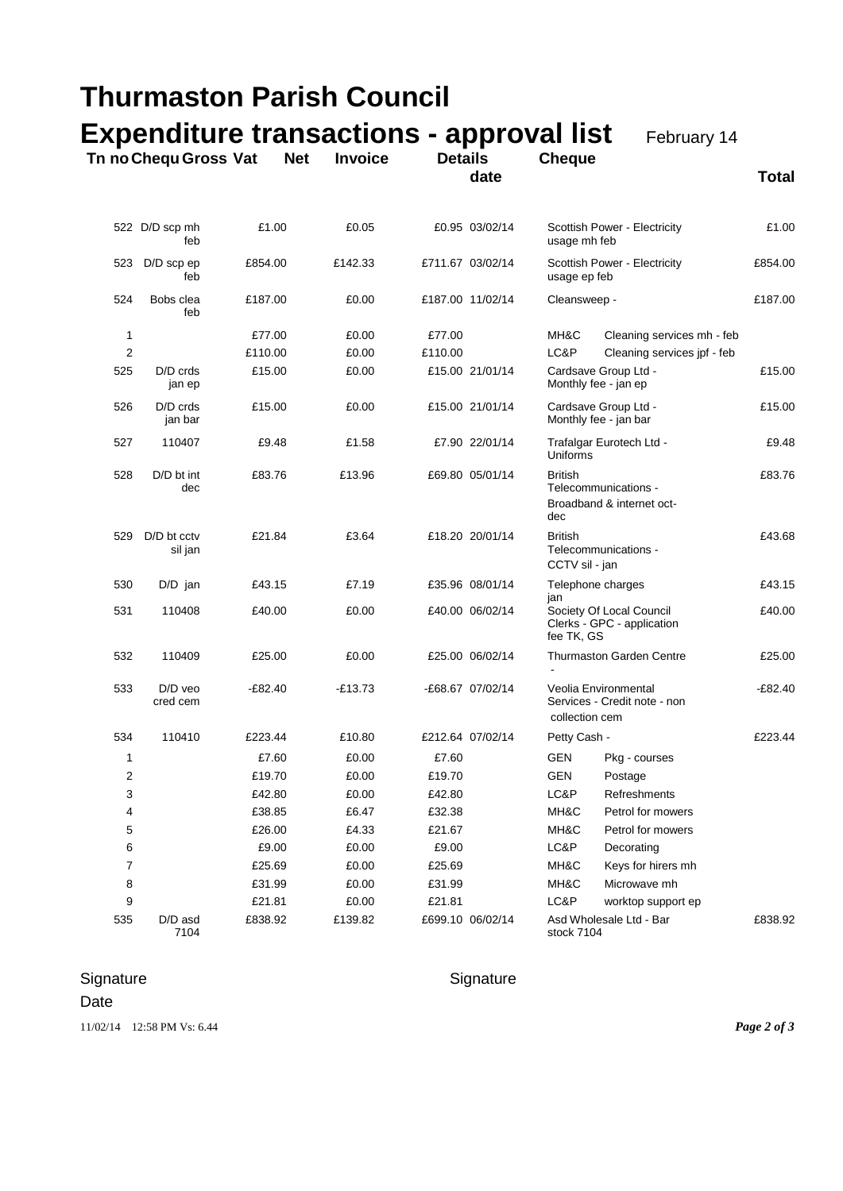| <b>Thurmaston Parish Council</b><br><b>Expenditure transactions - approval list</b><br>February 14<br>Tn no Chequ Gross Vat |                          |           |           |         |                  |                                                                        |                                                   |           |
|-----------------------------------------------------------------------------------------------------------------------------|--------------------------|-----------|-----------|---------|------------------|------------------------------------------------------------------------|---------------------------------------------------|-----------|
|                                                                                                                             |                          |           |           |         |                  |                                                                        |                                                   |           |
|                                                                                                                             | 522 D/D scp mh<br>feb    | £1.00     | £0.05     |         | £0.95 03/02/14   | usage mh feb                                                           | Scottish Power - Electricity                      | £1.00     |
| 523                                                                                                                         | $D/D$ scp ep<br>feb      | £854.00   | £142.33   |         | £711.67 03/02/14 | usage ep feb                                                           | Scottish Power - Electricity                      | £854.00   |
| 524                                                                                                                         | Bobs clea<br>feb         | £187.00   | £0.00     |         | £187.00 11/02/14 | Cleansweep -                                                           |                                                   | £187.00   |
| 1                                                                                                                           |                          | £77.00    | £0.00     | £77.00  |                  | MH&C                                                                   | Cleaning services mh - feb                        |           |
| $\overline{2}$                                                                                                              |                          | £110.00   | £0.00     | £110.00 |                  | LC&P                                                                   | Cleaning services jpf - feb                       |           |
| 525                                                                                                                         | $D/D$ crds<br>jan ep     | £15.00    | £0.00     |         | £15.00 21/01/14  | Monthly fee - jan ep                                                   | Cardsave Group Ltd -                              | £15.00    |
| 526                                                                                                                         | $D/D$ crds<br>jan bar    | £15.00    | £0.00     |         | £15.00 21/01/14  | Cardsave Group Ltd -<br>Monthly fee - jan bar                          |                                                   | £15.00    |
| 527                                                                                                                         | 110407                   | £9.48     | £1.58     |         | £7.90 22/01/14   | Uniforms                                                               | Trafalgar Eurotech Ltd -                          | £9.48     |
| 528                                                                                                                         | D/D bt int<br>dec        | £83.76    | £13.96    |         | £69.80 05/01/14  | <b>British</b><br>dec                                                  | Telecommunications -<br>Broadband & internet oct- | £83.76    |
| 529                                                                                                                         | $D/D$ bt cctv<br>sil jan | £21.84    | £3.64     |         | £18.20 20/01/14  | British<br>CCTV sil - jan                                              | Telecommunications -                              | £43.68    |
| 530                                                                                                                         | $D/D$ jan                | £43.15    | £7.19     |         | £35.96 08/01/14  | Telephone charges<br>jan                                               |                                                   | £43.15    |
| 531                                                                                                                         | 110408                   | £40.00    | £0.00     |         | £40.00 06/02/14  | Society Of Local Council<br>Clerks - GPC - application<br>fee TK, GS   |                                                   | £40.00    |
| 532                                                                                                                         | 110409                   | £25.00    | £0.00     |         | £25.00 06/02/14  | Thurmaston Garden Centre                                               |                                                   | £25.00    |
| 533                                                                                                                         | $D/D$ veo<br>cred cem    | $-E82.40$ | $-£13.73$ |         | -£68.67 07/02/14 | Veolia Environmental<br>Services - Credit note - non<br>collection cem |                                                   | $-E82.40$ |
| 534                                                                                                                         | 110410                   | £223.44   | £10.80    |         | £212.64 07/02/14 | Petty Cash -                                                           |                                                   | £223.44   |
| 1                                                                                                                           |                          | £7.60     | £0.00     | £7.60   |                  | GEN                                                                    | Pkg - courses                                     |           |
| 2                                                                                                                           |                          | £19.70    | £0.00     | £19.70  |                  | <b>GEN</b>                                                             | Postage                                           |           |
| 3                                                                                                                           |                          | £42.80    | £0.00     | £42.80  |                  | LC&P                                                                   | Refreshments                                      |           |
| 4                                                                                                                           |                          | £38.85    | £6.47     | £32.38  |                  | MH&C                                                                   | Petrol for mowers                                 |           |
| 5                                                                                                                           |                          | £26.00    | £4.33     | £21.67  |                  | MH&C                                                                   | Petrol for mowers                                 |           |
| 6                                                                                                                           |                          | £9.00     | £0.00     | £9.00   |                  | LC&P                                                                   | Decorating                                        |           |
| 7                                                                                                                           |                          | £25.69    | £0.00     | £25.69  |                  | MH&C                                                                   | Keys for hirers mh                                |           |
| 8                                                                                                                           |                          | £31.99    | £0.00     | £31.99  |                  | MH&C                                                                   | Microwave mh                                      |           |
| 9                                                                                                                           |                          | £21.81    | £0.00     | £21.81  |                  | LC&P                                                                   | worktop support ep                                |           |
| 535                                                                                                                         | D/D asd<br>7104          | £838.92   | £139.82   |         | £699.10 06/02/14 | stock 7104                                                             | Asd Wholesale Ltd - Bar                           | £838.92   |

## Signature Signature Signature

Date

11/02/14 12:58 PM Vs: 6.44 *Page 2 of 3*